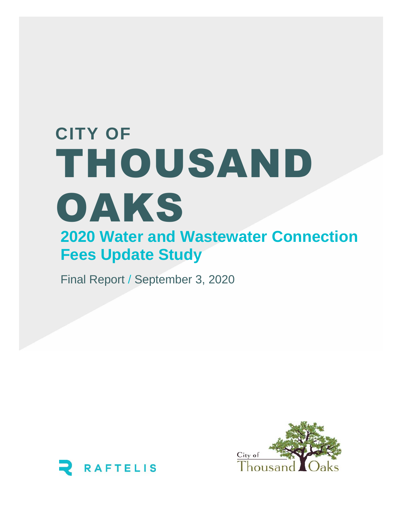# **2020 Water and Wastewater Connection Fees Update Study CITY OF**  THOUSAND OAKS

Final Report / September 3, 2020



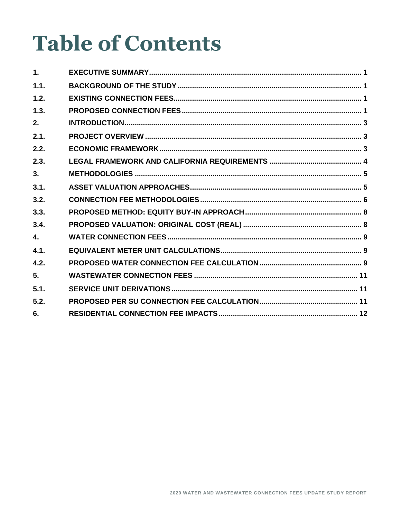# **Table of Contents**

| 1 <sub>1</sub> |  |
|----------------|--|
| 1.1.           |  |
| 1.2.           |  |
| 1.3.           |  |
| 2.             |  |
| 2.1.           |  |
| 2.2.           |  |
| 2.3.           |  |
| 3.             |  |
| 3.1.           |  |
| 3.2.           |  |
| 3.3.           |  |
| 3.4.           |  |
| $\mathbf{4}$ . |  |
| 4.1.           |  |
| 4.2.           |  |
| 5.             |  |
| 5.1.           |  |
| 5.2.           |  |
| 6.             |  |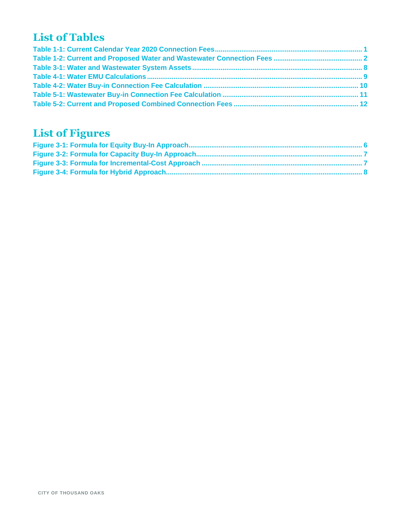## **List of Tables**

## **List of Figures**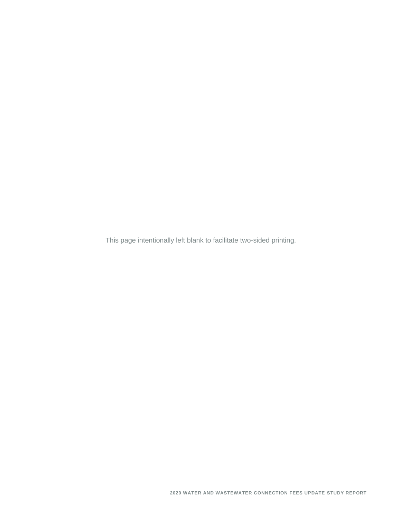This page intentionally left blank to facilitate two-sided printing.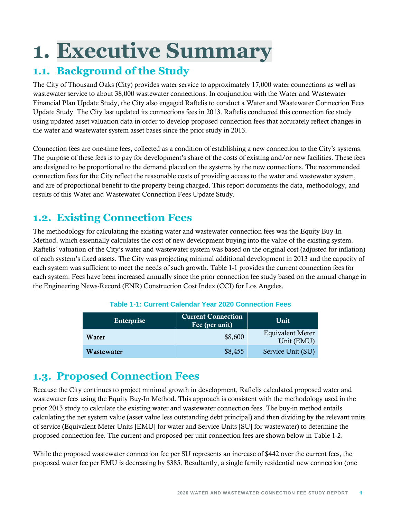# <span id="page-5-0"></span>**1. Executive Summary**

### <span id="page-5-1"></span>**1.1. Background of the Study**

The City of Thousand Oaks (City) provides water service to approximately 17,000 water connections as well as wastewater service to about 38,000 wastewater connections. In conjunction with the Water and Wastewater Financial Plan Update Study, the City also engaged Raftelis to conduct a Water and Wastewater Connection Fees Update Study. The City last updated its connections fees in 2013. Raftelis conducted this connection fee study using updated asset valuation data in order to develop proposed connection fees that accurately reflect changes in the water and wastewater system asset bases since the prior study in 2013.

Connection fees are one-time fees, collected as a condition of establishing a new connection to the City's systems. The purpose of these fees is to pay for development's share of the costs of existing and/or new facilities. These fees are designed to be proportional to the demand placed on the systems by the new connections. The recommended connection fees for the City reflect the reasonable costs of providing access to the water and wastewater system, and are of proportional benefit to the property being charged. This report documents the data, methodology, and results of this Water and Wastewater Connection Fees Update Study.

## <span id="page-5-2"></span>**1.2. Existing Connection Fees**

The methodology for calculating the existing water and wastewater connection fees was the Equity Buy-In Method, which essentially calculates the cost of new development buying into the value of the existing system. Raftelis' valuation of the City's water and wastewater system was based on the original cost (adjusted for inflation) of each system's fixed assets. The City was projecting minimal additional development in 2013 and the capacity of each system was sufficient to meet the needs of such growth. [Table 1-1](#page-5-4) provides the current connection fees for each system. Fees have been increased annually since the prior connection fee study based on the annual change in the Engineering News-Record (ENR) Construction Cost Index (CCI) for Los Angeles.

#### **Table 1-1: Current Calendar Year 2020 Connection Fees**

<span id="page-5-4"></span>

| Enterprise | <b>Current Connection</b><br>Fee (per unit) $\mathbf{r}$ | Unit                                  |
|------------|----------------------------------------------------------|---------------------------------------|
| Water      | \$8,600                                                  | <b>Equivalent Meter</b><br>Unit (EMU) |
| Wastewater | \$8,455                                                  | Service Unit (SU)                     |

### <span id="page-5-3"></span>**1.3. Proposed Connection Fees**

Because the City continues to project minimal growth in development, Raftelis calculated proposed water and wastewater fees using the Equity Buy-In Method. This approach is consistent with the methodology used in the prior 2013 study to calculate the existing water and wastewater connection fees. The buy-in method entails calculating the net system value (asset value less outstanding debt principal) and then dividing by the relevant units of service (Equivalent Meter Units [EMU] for water and Service Units [SU] for wastewater) to determine the proposed connection fee. The current and proposed per unit connection fees are shown below in [Table 1-2.](#page-6-0)

While the proposed wastewater connection fee per SU represents an increase of \$442 over the current fees, the proposed water fee per EMU is decreasing by \$385. Resultantly, a single family residential new connection (one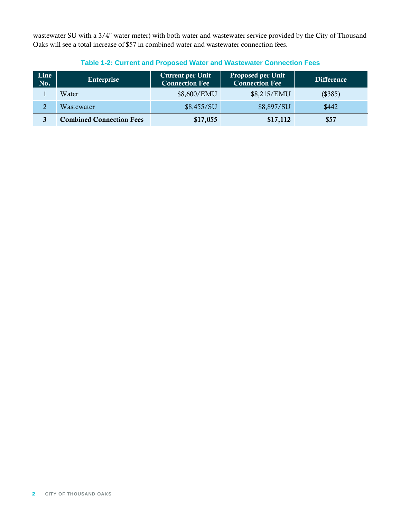wastewater SU with a 3/4" water meter) with both water and wastewater service provided by the City of Thousand Oaks will see a total increase of \$57 in combined water and wastewater connection fees.

<span id="page-6-0"></span>

| Line<br>No. | Enterprise                      | <b>Current per Unit</b><br><b>Connection Fee</b> | <b>Proposed per Unit</b><br><b>Connection Fee</b> | <b>Difference</b> |
|-------------|---------------------------------|--------------------------------------------------|---------------------------------------------------|-------------------|
|             | Water                           | \$8,600/EMU                                      | \$8,215/EMU                                       | (\$385)           |
| 2           | Wastewater                      | \$8,455/SU                                       | \$8,897/SU                                        | \$442             |
| 3           | <b>Combined Connection Fees</b> | \$17,055                                         | \$17,112                                          | \$57              |

#### **Table 1-2: Current and Proposed Water and Wastewater Connection Fees**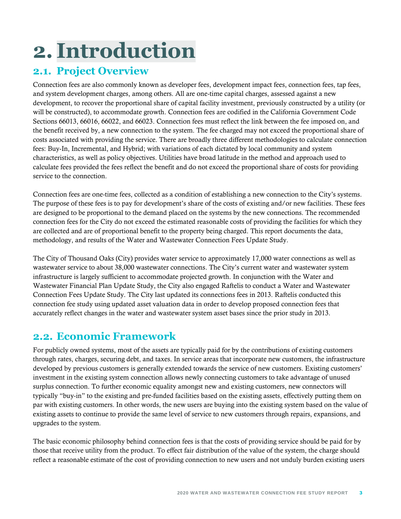# <span id="page-7-0"></span>**2. Introduction**

### <span id="page-7-1"></span>**2.1. Project Overview**

Connection fees are also commonly known as developer fees, development impact fees, connection fees, tap fees, and system development charges, among others. All are one-time capital charges, assessed against a new development, to recover the proportional share of capital facility investment, previously constructed by a utility (or will be constructed), to accommodate growth. Connection fees are codified in the California Government Code Sections 66013, 66016, 66022, and 66023. Connection fees must reflect the link between the fee imposed on, and the benefit received by, a new connection to the system. The fee charged may not exceed the proportional share of costs associated with providing the service. There are broadly three different methodologies to calculate connection fees: Buy-In, Incremental, and Hybrid; with variations of each dictated by local community and system characteristics, as well as policy objectives. Utilities have broad latitude in the method and approach used to calculate fees provided the fees reflect the benefit and do not exceed the proportional share of costs for providing service to the connection.

Connection fees are one-time fees, collected as a condition of establishing a new connection to the City's systems. The purpose of these fees is to pay for development's share of the costs of existing and/or new facilities. These fees are designed to be proportional to the demand placed on the systems by the new connections. The recommended connection fees for the City do not exceed the estimated reasonable costs of providing the facilities for which they are collected and are of proportional benefit to the property being charged. This report documents the data, methodology, and results of the Water and Wastewater Connection Fees Update Study.

The City of Thousand Oaks (City) provides water service to approximately 17,000 water connections as well as wastewater service to about 38,000 wastewater connections. The City's current water and wastewater system infrastructure is largely sufficient to accommodate projected growth. In conjunction with the Water and Wastewater Financial Plan Update Study, the City also engaged Raftelis to conduct a Water and Wastewater Connection Fees Update Study. The City last updated its connections fees in 2013. Raftelis conducted this connection fee study using updated asset valuation data in order to develop proposed connection fees that accurately reflect changes in the water and wastewater system asset bases since the prior study in 2013.

### <span id="page-7-2"></span>**2.2. Economic Framework**

For publicly owned systems, most of the assets are typically paid for by the contributions of existing customers through rates, charges, securing debt, and taxes. In service areas that incorporate new customers, the infrastructure developed by previous customers is generally extended towards the service of new customers. Existing customers' investment in the existing system connection allows newly connecting customers to take advantage of unused surplus connection. To further economic equality amongst new and existing customers, new connectors will typically "buy-in" to the existing and pre-funded facilities based on the existing assets, effectively putting them on par with existing customers. In other words, the new users are buying into the existing system based on the value of existing assets to continue to provide the same level of service to new customers through repairs, expansions, and upgrades to the system.

The basic economic philosophy behind connection fees is that the costs of providing service should be paid for by those that receive utility from the product. To effect fair distribution of the value of the system, the charge should reflect a reasonable estimate of the cost of providing connection to new users and not unduly burden existing users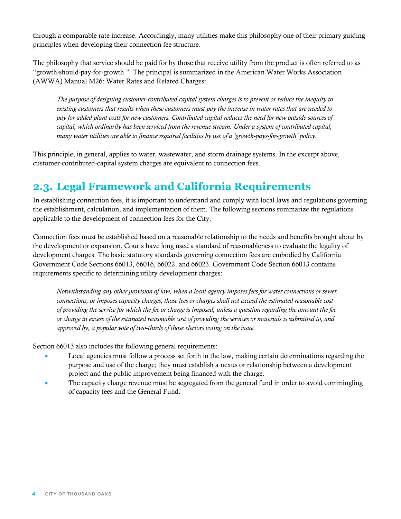through a comparable rate increase. Accordingly, many utilities make this philosophy one of their primary guiding principles when developing their connection fee structure.

The philosophy that service should be paid for by those that receive utility from the product is often referred to as "growth-should-pay-for-growth." The principal is summarized in the American Water Works Association (AWWA) Manual M26: Water Rates and Related Charges:

*The purpose of designing customer-contributed-capital system charges is to prevent or reduce the inequity to existing customers that results when these customers must pay the increase in water rates that are needed to pay for added plant costs for new customers. Contributed capital reduces the need for new outside sources of capital, which ordinarily has been serviced from the revenue stream. Under a system of contributed capital, many water utilities are able to finance required facilities by use of a 'growth-pays-for-growth' policy.*

This principle, in general, applies to water, wastewater, and storm drainage systems. In the excerpt above, customer-contributed-capital system charges are equivalent to connection fees.

### <span id="page-8-0"></span>**2.3. Legal Framework and California Requirements**

In establishing connection fees, it is important to understand and comply with local laws and regulations governing the establishment, calculation, and implementation of them. The following sections summarize the regulations applicable to the development of connection fees for the City.

Connection fees must be established based on a reasonable relationship to the needs and benefits brought about by the development or expansion. Courts have long used a standard of reasonableness to evaluate the legality of development charges. The basic statutory standards governing connection fees are embodied by California Government Code Sections 66013, 66016, 66022, and 66023. Government Code Section 66013 contains requirements specific to determining utility development charges:

*Notwithstanding any other provision of law, when a local agency imposes fees for water connections or sewer connections, or imposes capacity charges, those fees or charges shall not exceed the estimated reasonable cost of providing the service for which the fee or charge is imposed, unless a question regarding the amount the fee or charge in excess of the estimated reasonable cost of providing the services or materials is submitted to, and approved by, a popular vote of two-thirds of those electors voting on the issue.* 

Section 66013 also includes the following general requirements:

- Local agencies must follow a process set forth in the law, making certain determinations regarding the purpose and use of the charge; they must establish a nexus or relationship between a development project and the public improvement being financed with the charge.
- The capacity charge revenue must be segregated from the general fund in order to avoid commingling of capacity fees and the General Fund.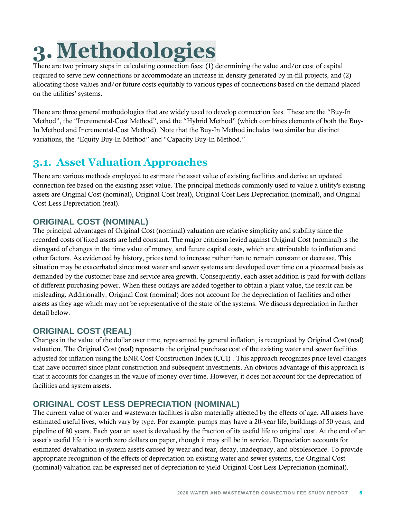# <span id="page-9-0"></span>**3. Methodologies**

There are two primary steps in calculating connection fees: (1) determining the value and/or cost of capital required to serve new connections or accommodate an increase in density generated by in-fill projects, and (2) allocating those values and/or future costs equitably to various types of connections based on the demand placed on the utilities' systems.

There are three general methodologies that are widely used to develop connection fees. These are the "Buy-In Method", the "Incremental-Cost Method", and the "Hybrid Method" (which combines elements of both the Buy-In Method and Incremental-Cost Method). Note that the Buy-In Method includes two similar but distinct variations, the "Equity Buy-In Method" and "Capacity Buy-In Method."

### <span id="page-9-1"></span>**3.1. Asset Valuation Approaches**

There are various methods employed to estimate the asset value of existing facilities and derive an updated connection fee based on the existing asset value. The principal methods commonly used to value a utility's existing assets are Original Cost (nominal), Original Cost (real), Original Cost Less Depreciation (nominal), and Original Cost Less Depreciation (real).

#### **ORIGINAL COST (NOMINAL)**

The principal advantages of Original Cost (nominal) valuation are relative simplicity and stability since the recorded costs of fixed assets are held constant. The major criticism levied against Original Cost (nominal) is the disregard of changes in the time value of money, and future capital costs, which are attributable to inflation and other factors. As evidenced by history, prices tend to increase rather than to remain constant or decrease. This situation may be exacerbated since most water and sewer systems are developed over time on a piecemeal basis as demanded by the customer base and service area growth. Consequently, each asset addition is paid for with dollars of different purchasing power. When these outlays are added together to obtain a plant value, the result can be misleading. Additionally, Original Cost (nominal) does not account for the depreciation of facilities and other assets as they age which may not be representative of the state of the systems. We discuss depreciation in further detail below.

#### **ORIGINAL COST (REAL)**

Changes in the value of the dollar over time, represented by general inflation, is recognized by Original Cost (real) valuation. The Original Cost (real) represents the original purchase cost of the existing water and sewer facilities adjusted for inflation using the ENR Cost Construction Index (CCI) . This approach recognizes price level changes that have occurred since plant construction and subsequent investments. An obvious advantage of this approach is that it accounts for changes in the value of money over time. However, it does not account for the depreciation of facilities and system assets.

#### **ORIGINAL COST LESS DEPRECIATION (NOMINAL)**

The current value of water and wastewater facilities is also materially affected by the effects of age. All assets have estimated useful lives, which vary by type. For example, pumps may have a 20-year life, buildings of 50 years, and pipeline of 80 years. Each year an asset is devalued by the fraction of its useful life to original cost. At the end of an asset's useful life it is worth zero dollars on paper, though it may still be in service. Depreciation accounts for estimated devaluation in system assets caused by wear and tear, decay, inadequacy, and obsolescence. To provide appropriate recognition of the effects of depreciation on existing water and sewer systems, the Original Cost (nominal) valuation can be expressed net of depreciation to yield Original Cost Less Depreciation (nominal).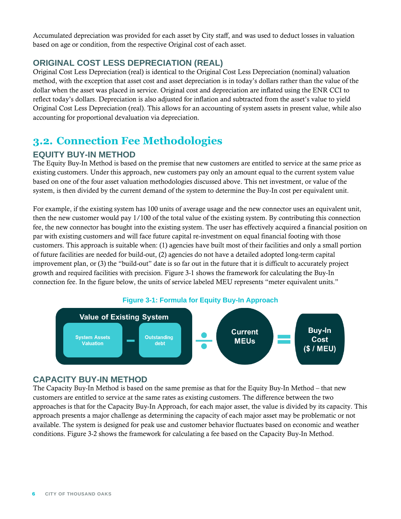Accumulated depreciation was provided for each asset by City staff, and was used to deduct losses in valuation based on age or condition, from the respective Original cost of each asset.

#### **ORIGINAL COST LESS DEPRECIATION (REAL)**

Original Cost Less Depreciation (real) is identical to the Original Cost Less Depreciation (nominal) valuation method, with the exception that asset cost and asset depreciation is in today's dollars rather than the value of the dollar when the asset was placed in service. Original cost and depreciation are inflated using the ENR CCI to reflect today's dollars. Depreciation is also adjusted for inflation and subtracted from the asset's value to yield Original Cost Less Depreciation (real). This allows for an accounting of system assets in present value, while also accounting for proportional devaluation via depreciation.

## <span id="page-10-0"></span>**3.2. Connection Fee Methodologies**

#### **EQUITY BUY-IN METHOD**

The Equity Buy-In Method is based on the premise that new customers are entitled to service at the same price as existing customers. Under this approach, new customers pay only an amount equal to the current system value based on one of the four asset valuation methodologies discussed above. This net investment, or value of the system, is then divided by the current demand of the system to determine the Buy-In cost per equivalent unit.

For example, if the existing system has 100 units of average usage and the new connector uses an equivalent unit, then the new customer would pay 1/100 of the total value of the existing system. By contributing this connection fee, the new connector has bought into the existing system. The user has effectively acquired a financial position on par with existing customers and will face future capital re-investment on equal financial footing with those customers. This approach is suitable when: (1) agencies have built most of their facilities and only a small portion of future facilities are needed for build-out, (2) agencies do not have a detailed adopted long-term capital improvement plan, or (3) the "build-out" date is so far out in the future that it is difficult to accurately project growth and required facilities with precision. [Figure 3-1](#page-10-1) shows the framework for calculating the Buy-In connection fee. In the figure below, the units of service labeled MEU represents "meter equivalent units."

<span id="page-10-1"></span>

#### **CAPACITY BUY-IN METHOD**

The Capacity Buy-In Method is based on the same premise as that for the Equity Buy-In Method – that new customers are entitled to service at the same rates as existing customers. The difference between the two approaches is that for the Capacity Buy-In Approach, for each major asset, the value is divided by its capacity. This approach presents a major challenge as determining the capacity of each major asset may be problematic or not available. The system is designed for peak use and customer behavior fluctuates based on economic and weather conditions. [Figure 3-2](#page-11-0) shows the framework for calculating a fee based on the Capacity Buy-In Method.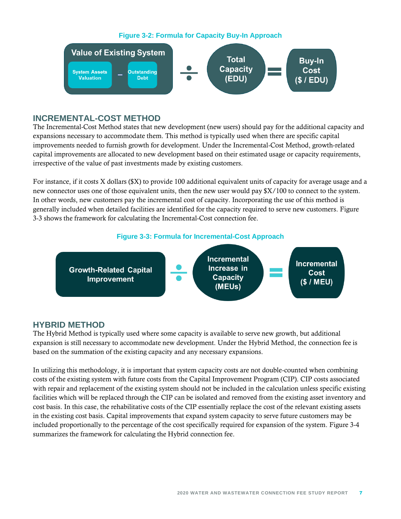<span id="page-11-0"></span>

#### **INCREMENTAL-COST METHOD**

The Incremental-Cost Method states that new development (new users) should pay for the additional capacity and expansions necessary to accommodate them. This method is typically used when there are specific capital improvements needed to furnish growth for development. Under the Incremental-Cost Method, growth-related capital improvements are allocated to new development based on their estimated usage or capacity requirements, irrespective of the value of past investments made by existing customers.

For instance, if it costs X dollars (\$X) to provide 100 additional equivalent units of capacity for average usage and a new connector uses one of those equivalent units, then the new user would pay \$X/100 to connect to the system. In other words, new customers pay the incremental cost of capacity. Incorporating the use of this method is generally included when detailed facilities are identified for the capacity required to serve new customers. [Figure](#page-11-1)  [3-3](#page-11-1) shows the framework for calculating the Incremental-Cost connection fee.



<span id="page-11-1"></span>

#### **HYBRID METHOD**

The Hybrid Method is typically used where some capacity is available to serve new growth, but additional expansion is still necessary to accommodate new development. Under the Hybrid Method, the connection fee is based on the summation of the existing capacity and any necessary expansions.

In utilizing this methodology, it is important that system capacity costs are not double-counted when combining costs of the existing system with future costs from the Capital Improvement Program (CIP). CIP costs associated with repair and replacement of the existing system should not be included in the calculation unless specific existing facilities which will be replaced through the CIP can be isolated and removed from the existing asset inventory and cost basis. In this case, the rehabilitative costs of the CIP essentially replace the cost of the relevant existing assets in the existing cost basis. Capital improvements that expand system capacity to serve future customers may be included proportionally to the percentage of the cost specifically required for expansion of the system. [Figure 3-4](#page-12-3) summarizes the framework for calculating the Hybrid connection fee.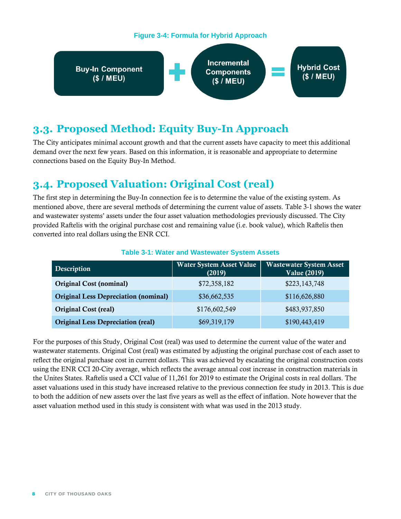#### **Figure 3-4: Formula for Hybrid Approach**

<span id="page-12-3"></span>

### <span id="page-12-0"></span>**3.3. Proposed Method: Equity Buy-In Approach**

The City anticipates minimal account growth and that the current assets have capacity to meet this additional demand over the next few years. Based on this information, it is reasonable and appropriate to determine connections based on the Equity Buy-In Method.

## <span id="page-12-1"></span>**3.4. Proposed Valuation: Original Cost (real)**

The first step in determining the Buy-In connection fee is to determine the value of the existing system. As mentioned above, there are several methods of determining the current value of assets. [Table 3-1](#page-12-2) shows the water and wastewater systems' assets under the four asset valuation methodologies previously discussed. The City provided Raftelis with the original purchase cost and remaining value (i.e. book value), which Raftelis then converted into real dollars using the ENR CCI.

<span id="page-12-2"></span>

| Description                                 | <b>Water System Asset Value</b><br>(2019) | <b>Wastewater System Asset</b><br><b>Value (2019)</b> |
|---------------------------------------------|-------------------------------------------|-------------------------------------------------------|
| <b>Original Cost (nominal)</b>              | \$72,358,182                              | \$223,143,748                                         |
| <b>Original Less Depreciation (nominal)</b> | \$36,662,535                              | \$116,626,880                                         |
| <b>Original Cost (real)</b>                 | \$176,602,549                             | \$483,937,850                                         |
| <b>Original Less Depreciation (real)</b>    | \$69,319,179                              | \$190,443,419                                         |

#### **Table 3-1: Water and Wastewater System Assets**

For the purposes of this Study, Original Cost (real) was used to determine the current value of the water and wastewater statements. Original Cost (real) was estimated by adjusting the original purchase cost of each asset to reflect the original purchase cost in current dollars. This was achieved by escalating the original construction costs using the ENR CCI 20-City average, which reflects the average annual cost increase in construction materials in the Unites States. Raftelis used a CCI value of 11,261 for 2019 to estimate the Original costs in real dollars. The asset valuations used in this study have increased relative to the previous connection fee study in 2013. This is due to both the addition of new assets over the last five years as well as the effect of inflation. Note however that the asset valuation method used in this study is consistent with what was used in the 2013 study.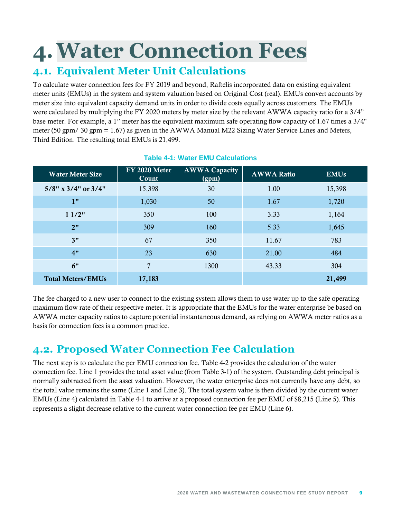# <span id="page-13-0"></span>**4.Water Connection Fees**

## <span id="page-13-1"></span>**4.1. Equivalent Meter Unit Calculations**

To calculate water connection fees for FY 2019 and beyond, Raftelis incorporated data on existing equivalent meter units (EMUs) in the system and system valuation based on Original Cost (real). EMUs convert accounts by meter size into equivalent capacity demand units in order to divide costs equally across customers. The EMUs were calculated by multiplying the FY 2020 meters by meter size by the relevant AWWA capacity ratio for a 3/4" base meter. For example, a 1" meter has the equivalent maximum safe operating flow capacity of 1.67 times a 3/4" meter (50 gpm/ 30 gpm = 1.67) as given in the AWWA Manual M22 Sizing Water Service Lines and Meters, Third Edition. The resulting total EMUs is 21,499.

<span id="page-13-3"></span>

| <b>Water Meter Size</b>      | FY 2020 Meter<br>Count | <b>AWWA Capacity</b><br>(gpm) | <b>AWWA Ratio</b> | <b>EMUs</b> |
|------------------------------|------------------------|-------------------------------|-------------------|-------------|
| $5/8$ " x $3/4$ " or $3/4$ " | 15,398                 | 30                            | 1.00              | 15,398      |
| 1"                           | 1,030                  | 50                            | 1.67              | 1,720       |
| 11/2"                        | 350                    | 100                           | 3.33              | 1,164       |
| 2"                           | 309                    | 160                           | 5.33              | 1,645       |
| 3"                           | 67                     | 350                           | 11.67             | 783         |
| 4"                           | 23                     | 630                           | 21.00             | 484         |
| 6"                           | 7                      | 1300                          | 43.33             | 304         |
| <b>Total Meters/EMUs</b>     | 17,183                 |                               |                   | 21,499      |

#### **Table 4-1: Water EMU Calculations**

The fee charged to a new user to connect to the existing system allows them to use water up to the safe operating maximum flow rate of their respective meter. It is appropriate that the EMUs for the water enterprise be based on AWWA meter capacity ratios to capture potential instantaneous demand, as relying on AWWA meter ratios as a basis for connection fees is a common practice.

### <span id="page-13-2"></span>**4.2. Proposed Water Connection Fee Calculation**

The next step is to calculate the per EMU connection fee. [Table 4-2](#page-14-0) provides the calculation of the water connection fee. Line 1 provides the total asset value (from [Table 3-1\)](#page-12-2) of the system. Outstanding debt principal is normally subtracted from the asset valuation. However, the water enterprise does not currently have any debt, so the total value remains the same (Line 1 and Line 3). The total system value is then divided by the current water EMUs (Line 4) calculated in [Table 4-1](#page-13-3) to arrive at a proposed connection fee per EMU of \$8,215 (Line 5). This represents a slight decrease relative to the current water connection fee per EMU (Line 6).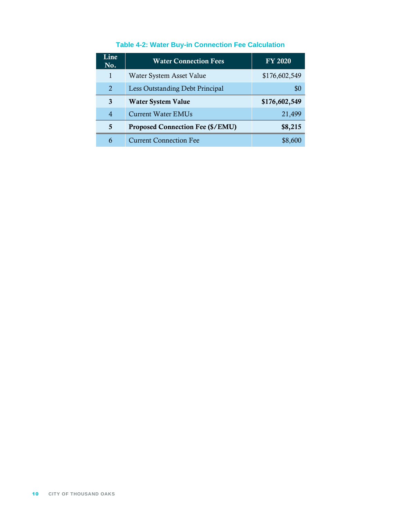<span id="page-14-0"></span>

| Line<br>No.    | <b>Water Connection Fees</b>            | <b>FY 2020</b> |
|----------------|-----------------------------------------|----------------|
| 1              | Water System Asset Value                | \$176,602,549  |
| 2              | Less Outstanding Debt Principal         | \$0            |
| 3              | Water System Value                      | \$176,602,549  |
| $\overline{4}$ | <b>Current Water EMUs</b>               | 21,499         |
| 5              | <b>Proposed Connection Fee (\$/EMU)</b> | \$8,215        |
| 6              | <b>Current Connection Fee</b>           | \$8,600        |

#### **Table 4-2: Water Buy-in Connection Fee Calculation**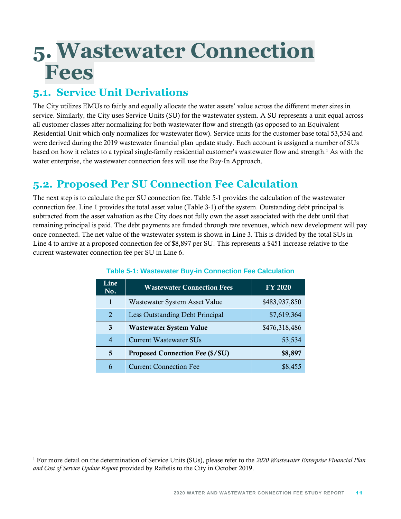## <span id="page-15-0"></span>**5. Wastewater Connection Fees**

## <span id="page-15-1"></span>**5.1. Service Unit Derivations**

The City utilizes EMUs to fairly and equally allocate the water assets' value across the different meter sizes in service. Similarly, the City uses Service Units (SU) for the wastewater system. A SU represents a unit equal across all customer classes after normalizing for both wastewater flow and strength (as opposed to an Equivalent Residential Unit which only normalizes for wastewater flow). Service units for the customer base total 53,534 and were derived during the 2019 wastewater financial plan update study. Each account is assigned a number of SUs based on how it relates to a typical single-family residential customer's wastewater flow and strength.<sup>1</sup> As with the water enterprise, the wastewater connection fees will use the Buy-In Approach.

## <span id="page-15-2"></span>**5.2. Proposed Per SU Connection Fee Calculation**

The next step is to calculate the per SU connection fee. [Table 5-1](#page-15-3) provides the calculation of the wastewater connection fee. Line 1 provides the total asset value [\(Table 3-1\)](#page-12-2) of the system. Outstanding debt principal is subtracted from the asset valuation as the City does not fully own the asset associated with the debt until that remaining principal is paid. The debt payments are funded through rate revenues, which new development will pay once connected. The net value of the wastewater system is shown in Line 3. This is divided by the total SUs in Line 4 to arrive at a proposed connection fee of \$8,897 per SU. This represents a \$451 increase relative to the current wastewater connection fee per SU in Line 6.

<span id="page-15-3"></span>

| Line<br>No.    | <b>Wastewater Connection Fees</b>      | <b>FY 2020</b> |
|----------------|----------------------------------------|----------------|
| 1              | Wastewater System Asset Value          | \$483,937,850  |
| $\overline{2}$ | Less Outstanding Debt Principal        | \$7,619,364    |
| 3              | <b>Wastewater System Value</b>         | \$476,318,486  |
| $\overline{4}$ | <b>Current Wastewater SUs</b>          | 53,534         |
| 5              | <b>Proposed Connection Fee (\$/SU)</b> | \$8,897        |
| 6              | <b>Current Connection Fee</b>          | \$8,455        |

#### **Table 5-1: Wastewater Buy-in Connection Fee Calculation**

<sup>1</sup> For more detail on the determination of Service Units (SUs), please refer to the *2020 Wastewater Enterprise Financial Plan and Cost of Service Update Report* provided by Raftelis to the City in October 2019.